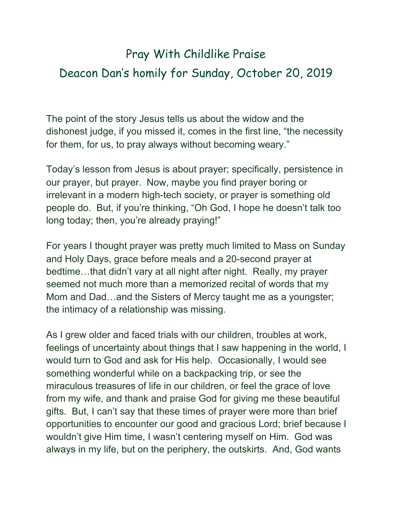## Pray With Childlike Praise Deacon Dan's homily for Sunday, October 20, 2019

The point of the story Jesus tells us about the widow and the dishonest judge, if you missed it, comes in the first line, "the necessity for them, for us, to pray always without becoming weary."

Today's lesson from Jesus is about prayer; specifically, persistence in our prayer, but prayer. Now, maybe you find prayer boring or irrelevant in a modern high-tech society, or prayer is something old people do. But, if you're thinking, "Oh God, I hope he doesn't talk too long today; then, you're already praying!"

For years I thought prayer was pretty much limited to Mass on Sunday and Holy Days, grace before meals and a 20-second prayer at bedtime…that didn't vary at all night after night. Really, my prayer seemed not much more than a memorized recital of words that my Mom and Dad…and the Sisters of Mercy taught me as a youngster; the intimacy of a relationship was missing.

As I grew older and faced trials with our children, troubles at work, feelings of uncertainty about things that I saw happening in the world, I would turn to God and ask for His help. Occasionally, I would see something wonderful while on a backpacking trip, or see the miraculous treasures of life in our children, or feel the grace of love from my wife, and thank and praise God for giving me these beautiful gifts. But, I can't say that these times of prayer were more than brief opportunities to encounter our good and gracious Lord; brief because I wouldn't give Him time, I wasn't centering myself on Him. God was always in my life, but on the periphery, the outskirts. And, God wants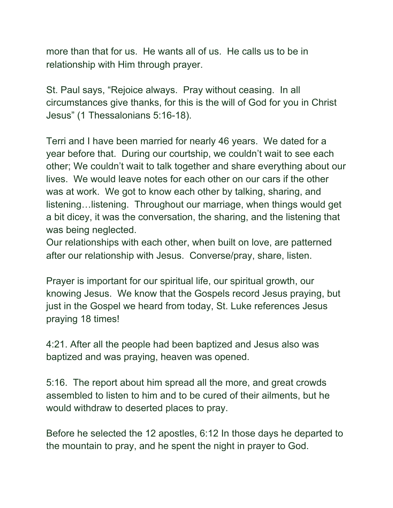more than that for us. He wants all of us. He calls us to be in relationship with Him through prayer.

St. Paul says, "Rejoice always. Pray without ceasing. In all circumstances give thanks, for this is the will of God for you in Christ Jesus" (1 Thessalonians 5:16-18).

Terri and I have been married for nearly 46 years. We dated for a year before that. During our courtship, we couldn't wait to see each other; We couldn't wait to talk together and share everything about our lives. We would leave notes for each other on our cars if the other was at work. We got to know each other by talking, sharing, and listening…listening. Throughout our marriage, when things would get a bit dicey, it was the conversation, the sharing, and the listening that was being neglected.

Our relationships with each other, when built on love, are patterned after our relationship with Jesus. Converse/pray, share, listen.

Prayer is important for our spiritual life, our spiritual growth, our knowing Jesus. We know that the Gospels record Jesus praying, but just in the Gospel we heard from today, St. Luke references Jesus praying 18 times!

4:21. After all the people had been baptized and Jesus also was baptized and was praying, heaven was opened.

5:16. The report about him spread all the more, and great crowds assembled to listen to him and to be cured of their ailments, but he would withdraw to deserted places to pray.

Before he selected the 12 apostles, 6:12 In those days he departed to the mountain to pray, and he spent the night in prayer to God.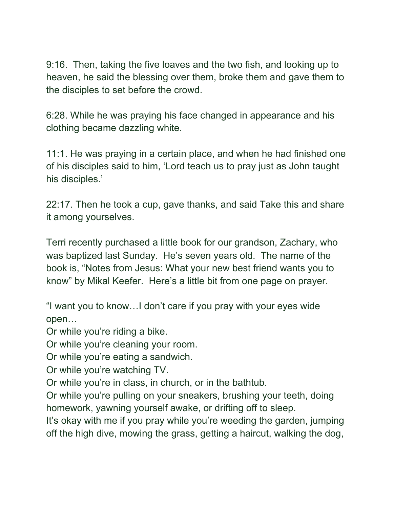9:16. Then, taking the five loaves and the two fish, and looking up to heaven, he said the blessing over them, broke them and gave them to the disciples to set before the crowd.

6:28. While he was praying his face changed in appearance and his clothing became dazzling white.

11:1. He was praying in a certain place, and when he had finished one of his disciples said to him, 'Lord teach us to pray just as John taught his disciples.'

22:17. Then he took a cup, gave thanks, and said Take this and share it among yourselves.

Terri recently purchased a little book for our grandson, Zachary, who was baptized last Sunday. He's seven years old. The name of the book is, "Notes from Jesus: What your new best friend wants you to know" by Mikal Keefer. Here's a little bit from one page on prayer.

"I want you to know…I don't care if you pray with your eyes wide open…

Or while you're riding a bike.

Or while you're cleaning your room.

Or while you're eating a sandwich.

Or while you're watching TV.

Or while you're in class, in church, or in the bathtub.

Or while you're pulling on your sneakers, brushing your teeth, doing homework, yawning yourself awake, or drifting off to sleep.

It's okay with me if you pray while you're weeding the garden, jumping off the high dive, mowing the grass, getting a haircut, walking the dog,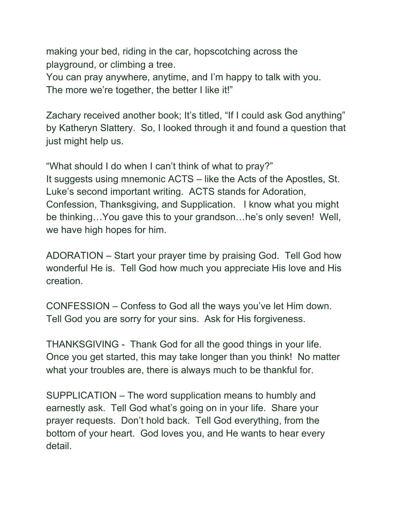making your bed, riding in the car, hopscotching across the playground, or climbing a tree.

You can pray anywhere, anytime, and I'm happy to talk with you. The more we're together, the better I like it!"

Zachary received another book; It's titled, "If I could ask God anything" by Katheryn Slattery. So, I looked through it and found a question that just might help us.

"What should I do when I can't think of what to pray?" It suggests using mnemonic ACTS – like the Acts of the Apostles, St. Luke's second important writing. ACTS stands for Adoration, Confession, Thanksgiving, and Supplication. I know what you might be thinking…You gave this to your grandson…he's only seven! Well, we have high hopes for him.

ADORATION – Start your prayer time by praising God. Tell God how wonderful He is. Tell God how much you appreciate His love and His creation.

CONFESSION – Confess to God all the ways you've let Him down. Tell God you are sorry for your sins. Ask for His forgiveness.

THANKSGIVING - Thank God for all the good things in your life. Once you get started, this may take longer than you think! No matter what your troubles are, there is always much to be thankful for.

SUPPLICATION – The word supplication means to humbly and earnestly ask. Tell God what's going on in your life. Share your prayer requests. Don't hold back. Tell God everything, from the bottom of your heart. God loves you, and He wants to hear every detail.